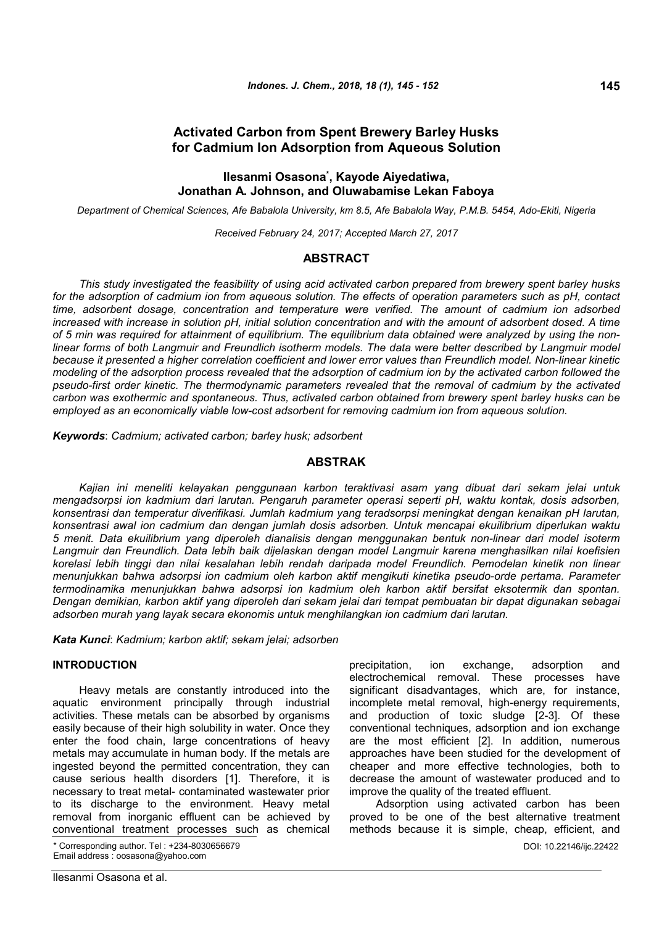# **Activated Carbon from Spent Brewery Barley Husks for Cadmium Ion Adsorption from Aqueous Solution**

## **Ilesanmi Osasona\* , Kayode Aiyedatiwa, Jonathan A. Johnson, and Oluwabamise Lekan Faboya**

*Department of Chemical Sciences, Afe Babalola University, km 8.5, Afe Babalola Way, P.M.B. 5454, Ado-Ekiti, Nigeria*

*Received February 24, 2017; Accepted March 27, 2017*

## **ABSTRACT**

*This study investigated the feasibility of using acid activated carbon prepared from brewery spent barley husks for the adsorption of cadmium ion from aqueous solution. The effects of operation parameters such as pH, contact time, adsorbent dosage, concentration and temperature were verified. The amount of cadmium ion adsorbed increased with increase in solution pH, initial solution concentration and with the amount of adsorbent dosed. A time of 5 min was required for attainment of equilibrium. The equilibrium data obtained were analyzed by using the nonlinear forms of both Langmuir and Freundlich isotherm models. The data were better described by Langmuir model because it presented a higher correlation coefficient and lower error values than Freundlich model. Non-linear kinetic modeling of the adsorption process revealed that the adsorption of cadmium ion by the activated carbon followed the pseudo-first order kinetic. The thermodynamic parameters revealed that the removal of cadmium by the activated carbon was exothermic and spontaneous. Thus, activated carbon obtained from brewery spent barley husks can be employed as an economically viable low-cost adsorbent for removing cadmium ion from aqueous solution.*

*Keywords*: *Cadmium; activated carbon; barley husk; adsorbent*

#### **ABSTRAK**

*Kajian ini meneliti kelayakan penggunaan karbon teraktivasi asam yang dibuat dari sekam jelai untuk mengadsorpsi ion kadmium dari larutan. Pengaruh parameter operasi seperti pH, waktu kontak, dosis adsorben, konsentrasi dan temperatur diverifikasi. Jumlah kadmium yang teradsorpsi meningkat dengan kenaikan pH larutan, konsentrasi awal ion cadmium dan dengan jumlah dosis adsorben. Untuk mencapai ekuilibrium diperlukan waktu 5 menit. Data ekuilibrium yang diperoleh dianalisis dengan menggunakan bentuk non-linear dari model isoterm Langmuir dan Freundlich. Data lebih baik dijelaskan dengan model Langmuir karena menghasilkan nilai koefisien korelasi lebih tinggi dan nilai kesalahan lebih rendah daripada model Freundlich. Pemodelan kinetik non linear menunjukkan bahwa adsorpsi ion cadmium oleh karbon aktif mengikuti kinetika pseudo-orde pertama. Parameter termodinamika menunjukkan bahwa adsorpsi ion kadmium oleh karbon aktif bersifat eksotermik dan spontan. Dengan demikian, karbon aktif yang diperoleh dari sekam jelai dari tempat pembuatan bir dapat digunakan sebagai adsorben murah yang layak secara ekonomis untuk menghilangkan ion cadmium dari larutan.*

*Kata Kunci*: *Kadmium; karbon aktif; sekam jelai; adsorben*

## **INTRODUCTION**

Heavy metals are constantly introduced into the aquatic environment principally through industrial activities. These metals can be absorbed by organisms easily because of their high solubility in water. Once they enter the food chain, large concentrations of heavy metals may accumulate in human body. If the metals are ingested beyond the permitted concentration, they can cause serious health disorders [1]. Therefore, it is necessary to treat metal- contaminated wastewater prior to its discharge to the environment. Heavy metal removal from inorganic effluent can be achieved by conventional treatment processes such as chemical

\* Corresponding author. Tel : +234-8030656679 Email address : oosasona@yahoo.com

precipitation, ion exchange, adsorption and electrochemical removal. These processes have significant disadvantages, which are, for instance, incomplete metal removal, high-energy requirements, and production of toxic sludge [2-3]. Of these conventional techniques, adsorption and ion exchange are the most efficient [2]. In addition, numerous approaches have been studied for the development of cheaper and more effective technologies, both to decrease the amount of wastewater produced and to improve the quality of the treated effluent.

DOI: 10.22146/ijc.22422 Adsorption using activated carbon has been proved to be one of the best alternative treatment methods because it is simple, cheap, efficient, and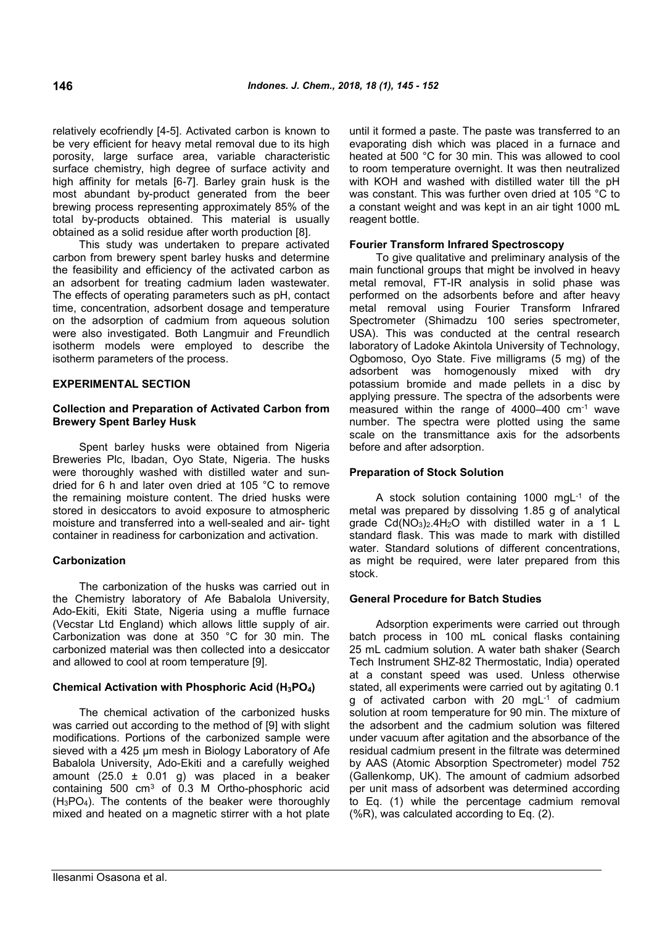relatively ecofriendly [4-5]. Activated carbon is known to be very efficient for heavy metal removal due to its high porosity, large surface area, variable characteristic surface chemistry, high degree of surface activity and high affinity for metals [6-7]. Barley grain husk is the most abundant by-product generated from the beer brewing process representing approximately 85% of the total by-products obtained. This material is usually obtained as a solid residue after worth production [8].

This study was undertaken to prepare activated carbon from brewery spent barley husks and determine the feasibility and efficiency of the activated carbon as an adsorbent for treating cadmium laden wastewater. The effects of operating parameters such as pH, contact time, concentration, adsorbent dosage and temperature on the adsorption of cadmium from aqueous solution were also investigated. Both Langmuir and Freundlich isotherm models were employed to describe the isotherm parameters of the process.

## **EXPERIMENTAL SECTION**

## **Collection and Preparation of Activated Carbon from Brewery Spent Barley Husk**

Spent barley husks were obtained from Nigeria Breweries Plc, Ibadan, Oyo State, Nigeria. The husks were thoroughly washed with distilled water and sundried for 6 h and later oven dried at 105 °C to remove the remaining moisture content. The dried husks were stored in desiccators to avoid exposure to atmospheric moisture and transferred into a well-sealed and air- tight container in readiness for carbonization and activation.

# **Carbonization**

The carbonization of the husks was carried out in the Chemistry laboratory of Afe Babalola University, Ado-Ekiti, Ekiti State, Nigeria using a muffle furnace (Vecstar Ltd England) which allows little supply of air. Carbonization was done at 350 °C for 30 min. The carbonized material was then collected into a desiccator and allowed to cool at room temperature [9].

# **Chemical Activation with Phosphoric Acid (H3PO4)**

The chemical activation of the carbonized husks was carried out according to the method of [9] with slight modifications. Portions of the carbonized sample were sieved with a 425 µm mesh in Biology Laboratory of Afe Babalola University, Ado-Ekiti and a carefully weighed amount (25.0  $\pm$  0.01 g) was placed in a beaker containing  $500 \text{ cm}^3$  of  $0.3 \text{ M}$  Ortho-phosphoric acid (H3PO4). The contents of the beaker were thoroughly mixed and heated on a magnetic stirrer with a hot plate until it formed a paste. The paste was transferred to an evaporating dish which was placed in a furnace and heated at 500 °C for 30 min. This was allowed to cool to room temperature overnight. It was then neutralized with KOH and washed with distilled water till the pH was constant. This was further oven dried at 105 °C to a constant weight and was kept in an air tight 1000 mL reagent bottle.

## **Fourier Transform Infrared Spectroscopy**

To give qualitative and preliminary analysis of the main functional groups that might be involved in heavy metal removal, FT-IR analysis in solid phase was performed on the adsorbents before and after heavy metal removal using Fourier Transform Infrared Spectrometer (Shimadzu 100 series spectrometer, USA). This was conducted at the central research laboratory of Ladoke Akintola University of Technology, Ogbomoso, Oyo State. Five milligrams (5 mg) of the adsorbent was homogenously mixed with dry potassium bromide and made pellets in a disc by applying pressure. The spectra of the adsorbents were measured within the range of 4000–400 cm-1 wave number. The spectra were plotted using the same scale on the transmittance axis for the adsorbents before and after adsorption.

## **Preparation of Stock Solution**

A stock solution containing 1000 mgL-1 of the metal was prepared by dissolving 1.85 g of analytical grade  $Cd(NO<sub>3</sub>)<sub>2</sub>$ .4H<sub>2</sub>O with distilled water in a 1 L standard flask. This was made to mark with distilled water. Standard solutions of different concentrations, as might be required, were later prepared from this stock.

## **General Procedure for Batch Studies**

Adsorption experiments were carried out through batch process in 100 mL conical flasks containing 25 mL cadmium solution. A water bath shaker (Search Tech Instrument SHZ-82 Thermostatic, India) operated at a constant speed was used. Unless otherwise stated, all experiments were carried out by agitating 0.1 g of activated carbon with 20 mgL-1 of cadmium solution at room temperature for 90 min. The mixture of the adsorbent and the cadmium solution was filtered under vacuum after agitation and the absorbance of the residual cadmium present in the filtrate was determined by AAS (Atomic Absorption Spectrometer) model 752 (Gallenkomp, UK). The amount of cadmium adsorbed per unit mass of adsorbent was determined according to Eq. (1) while the percentage cadmium removal (%R), was calculated according to Eq. (2).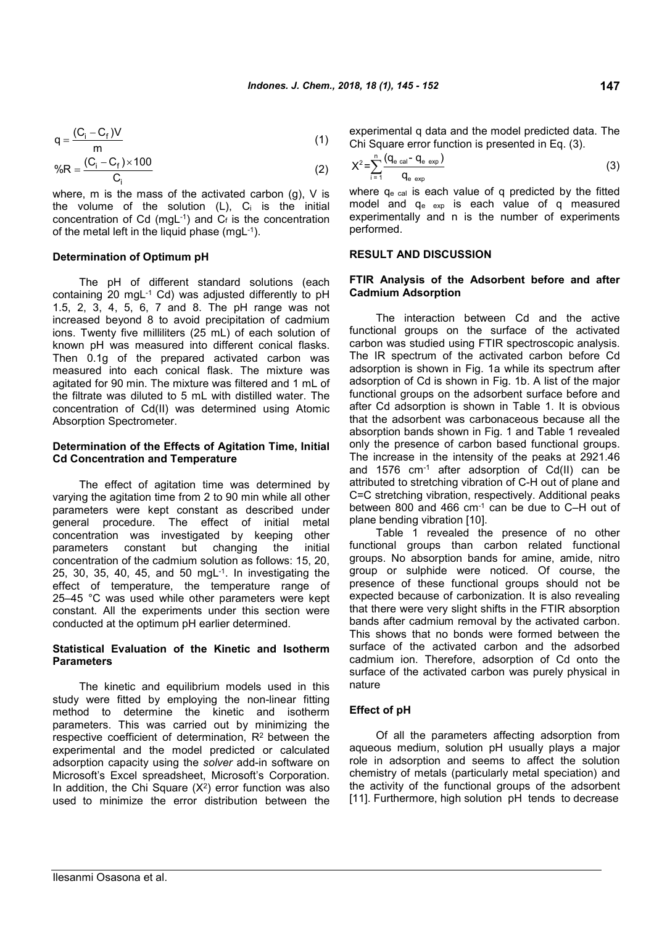$$
q = \frac{(C_i - C_f)V}{m}
$$
 (1)

$$
\%R = \frac{(C_i - C_f) \times 100}{C_i}
$$
 (2)

where, m is the mass of the activated carbon (g), V is the volume of the solution  $(L)$ ,  $C_i$  is the initial concentration of Cd (mgL $^{-1}$ ) and  $C_f$  is the concentration of the metal left in the liquid phase (mgL-1).

#### **Determination of Optimum pH**

The pH of different standard solutions (each containing 20 mgL-1 Cd) was adjusted differently to pH 1.5, 2, 3, 4, 5, 6, 7 and 8. The pH range was not increased beyond 8 to avoid precipitation of cadmium ions. Twenty five milliliters (25 mL) of each solution of known pH was measured into different conical flasks. Then 0.1g of the prepared activated carbon was measured into each conical flask. The mixture was agitated for 90 min. The mixture was filtered and 1 mL of the filtrate was diluted to 5 mL with distilled water. The concentration of Cd(II) was determined using Atomic Absorption Spectrometer.

#### **Determination of the Effects of Agitation Time, Initial Cd Concentration and Temperature**

The effect of agitation time was determined by varying the agitation time from 2 to 90 min while all other parameters were kept constant as described under general procedure. The effect of initial metal concentration was investigated by keeping other parameters constant but changing the initial concentration of the cadmium solution as follows: 15, 20, 25, 30, 35, 40, 45, and 50 mgL-1. In investigating the effect of temperature, the temperature range of 25–45 °C was used while other parameters were kept constant. All the experiments under this section were conducted at the optimum pH earlier determined.

### **Statistical Evaluation of the Kinetic and Isotherm Parameters**

The kinetic and equilibrium models used in this study were fitted by employing the non-linear fitting method to determine the kinetic and isotherm parameters. This was carried out by minimizing the respective coefficient of determination, R<sup>2</sup> between the experimental and the model predicted or calculated adsorption capacity using the *solver* add-in software on Microsoft's Excel spreadsheet, Microsoft's Corporation. In addition, the Chi Square  $(X^2)$  error function was also used to minimize the error distribution between the

experimental q data and the model predicted data. The Chi Square error function is presented in Eq. (3).

$$
X^{2} = \sum_{i=1}^{n} \frac{(q_{e \text{ cal}} - q_{e \text{ exp}})}{q_{e \text{ exp}}}
$$
 (3)

where q<sub>e cal</sub> is each value of q predicted by the fitted model and qe exp is each value of q measured experimentally and n is the number of experiments performed.

## **RESULT AND DISCUSSION**

## **FTIR Analysis of the Adsorbent before and after Cadmium Adsorption**

The interaction between Cd and the active functional groups on the surface of the activated carbon was studied using FTIR spectroscopic analysis. The IR spectrum of the activated carbon before Cd adsorption is shown in Fig. 1a while its spectrum after adsorption of Cd is shown in Fig. 1b. A list of the major functional groups on the adsorbent surface before and after Cd adsorption is shown in Table 1. It is obvious that the adsorbent was carbonaceous because all the absorption bands shown in Fig. 1 and Table 1 revealed only the presence of carbon based functional groups. The increase in the intensity of the peaks at 2921.46 and 1576 cm-1 after adsorption of Cd(II) can be attributed to stretching vibration of C-H out of plane and C=C stretching vibration, respectively. Additional peaks between 800 and 466 cm-1 can be due to C–H out of plane bending vibration [10].

Table 1 revealed the presence of no other functional groups than carbon related functional groups. No absorption bands for amine, amide, nitro group or sulphide were noticed. Of course, the presence of these functional groups should not be expected because of carbonization. It is also revealing that there were very slight shifts in the FTIR absorption bands after cadmium removal by the activated carbon. This shows that no bonds were formed between the surface of the activated carbon and the adsorbed cadmium ion. Therefore, adsorption of Cd onto the surface of the activated carbon was purely physical in nature

#### **Effect of pH**

Of all the parameters affecting adsorption from aqueous medium, solution pH usually plays a major role in adsorption and seems to affect the solution chemistry of metals (particularly metal speciation) and the activity of the functional groups of the adsorbent [11]. Furthermore, high solution pH tends to decrease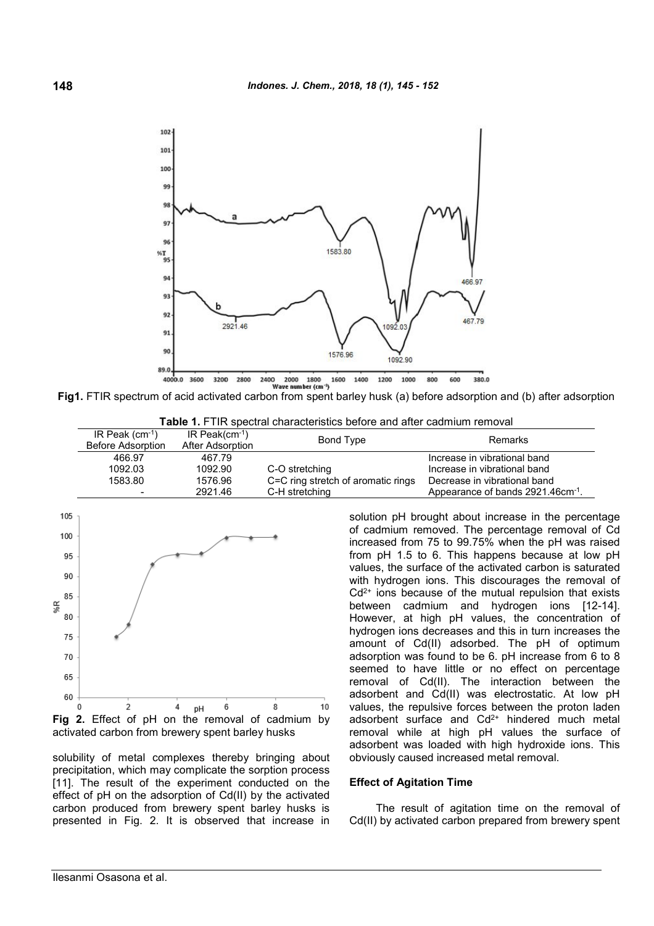

**Fig1.** FTIR spectrum of acid activated carbon from spent barley husk (a) before adsorption and (b) after adsorption

**Table 1.** FTIR spectral characteristics before and after cadmium removal

| IR Peak $(cm-1)$<br><b>Before Adsorption</b> | IR Peak( $cm-1$ )<br>After Adsorption | Bond Type                          | Remarks                                       |
|----------------------------------------------|---------------------------------------|------------------------------------|-----------------------------------------------|
| 466.97                                       | 467.79                                |                                    | Increase in vibrational band                  |
| 1092.03                                      | 1092.90                               | C-O stretching                     | Increase in vibrational band                  |
| 1583.80                                      | 1576.96                               | C=C ring stretch of aromatic rings | Decrease in vibrational band                  |
|                                              | 2921.46                               | C-H stretching                     | Appearance of bands 2921.46cm <sup>-1</sup> . |



activated carbon from brewery spent barley husks

solubility of metal complexes thereby bringing about precipitation, which may complicate the sorption process [11]. The result of the experiment conducted on the effect of pH on the adsorption of Cd(II) by the activated carbon produced from brewery spent barley husks is presented in Fig. 2. It is observed that increase in solution pH brought about increase in the percentage of cadmium removed. The percentage removal of Cd increased from 75 to 99.75% when the pH was raised from pH 1.5 to 6. This happens because at low pH values, the surface of the activated carbon is saturated with hydrogen ions. This discourages the removal of  $Cd<sup>2+</sup>$  ions because of the mutual repulsion that exists between cadmium and hydrogen ions [12-14]. However, at high pH values, the concentration of hydrogen ions decreases and this in turn increases the amount of Cd(II) adsorbed. The pH of optimum adsorption was found to be 6. pH increase from 6 to 8 seemed to have little or no effect on percentage removal of Cd(II). The interaction between the adsorbent and Cd(II) was electrostatic. At low pH values, the repulsive forces between the proton laden adsorbent surface and  $Cd^{2+}$  hindered much metal removal while at high pH values the surface of adsorbent was loaded with high hydroxide ions. This obviously caused increased metal removal.

## **Effect of Agitation Time**

The result of agitation time on the removal of Cd(II) by activated carbon prepared from brewery spent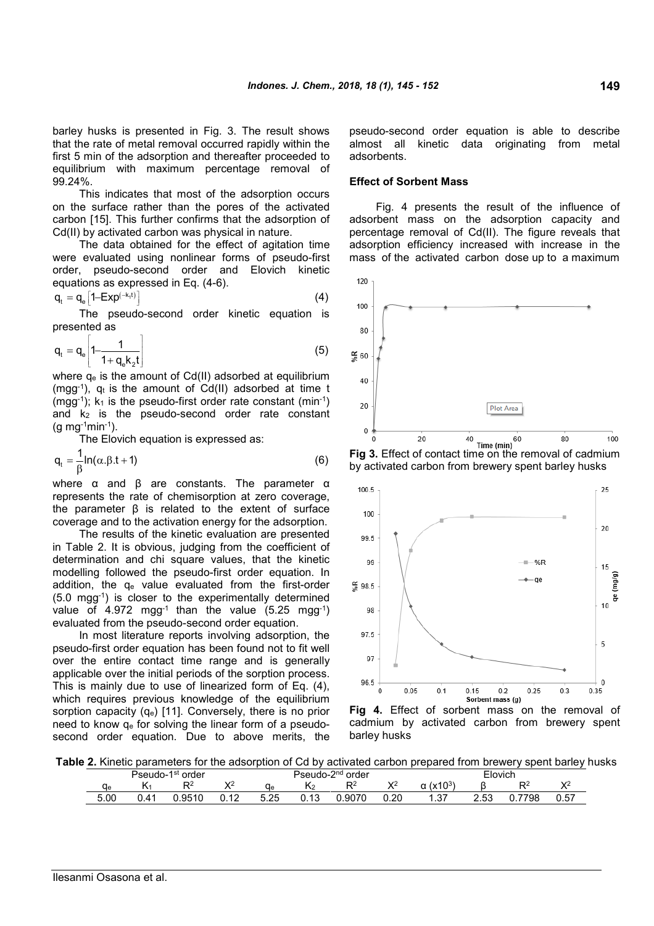barley husks is presented in Fig. 3. The result shows that the rate of metal removal occurred rapidly within the first 5 min of the adsorption and thereafter proceeded to equilibrium with maximum percentage removal of 99.24%.

This indicates that most of the adsorption occurs on the surface rather than the pores of the activated carbon [15]. This further confirms that the adsorption of Cd(II) by activated carbon was physical in nature.

The data obtained for the effect of agitation time were evaluated using nonlinear forms of pseudo-first order, pseudo-second order and Elovich kinetic equations as expressed in Eq. (4-6).

$$
q_t = q_e \left[ 1 - \text{Exp}^{(-k_t t)} \right] \tag{4}
$$

The pseudo-second order kinetic equation is presented as

$$
q_t = q_e \left[ 1 - \frac{1}{1 + q_e k_z t} \right] \tag{5}
$$

where  $q_e$  is the amount of Cd(II) adsorbed at equilibrium  $(mgg^{-1})$ ,  $q_t$  is the amount of Cd(II) adsorbed at time t (mgg-1);  $k_1$  is the pseudo-first order rate constant (min-1) and  $k_2$  is the pseudo-second order rate constant  $(g \, mg^{-1} \, min^{-1}).$ 

The Elovich equation is expressed as:

$$
q_t = \frac{1}{\beta} \ln(\alpha \cdot \beta \cdot t + 1) \tag{6}
$$

where α and β are constants. The parameter α represents the rate of chemisorption at zero coverage, the parameter β is related to the extent of surface coverage and to the activation energy for the adsorption.

The results of the kinetic evaluation are presented in Table 2. It is obvious, judging from the coefficient of determination and chi square values, that the kinetic modelling followed the pseudo-first order equation. In addition, the q<sup>e</sup> value evaluated from the first-order (5.0 mgg-1) is closer to the experimentally determined value of 4.972 mgg<sup>-1</sup> than the value  $(5.25 \text{ mag}^{-1})$ evaluated from the pseudo-second order equation.

In most literature reports involving adsorption, the pseudo-first order equation has been found not to fit well over the entire contact time range and is generally applicable over the initial periods of the sorption process. This is mainly due to use of linearized form of Eq. (4), which requires previous knowledge of the equilibrium sorption capacity (qe) [11]. Conversely, there is no prior need to know q<sup>e</sup> for solving the linear form of a pseudosecond order equation. Due to above merits, the pseudo-second order equation is able to describe almost all kinetic data originating from metal adsorbents.

#### **Effect of Sorbent Mass**

Fig. 4 presents the result of the influence of adsorbent mass on the adsorption capacity and percentage removal of Cd(II). The figure reveals that adsorption efficiency increased with increase in the mass of the activated carbon dose up to a maximum



**Fig 3.** Effect of contact time on the removal of cadmium by activated carbon from brewery spent barley husks



**Fig 4.** Effect of sorbent mass on the removal of cadmium by activated carbon from brewery spent barley husks

**Table 2.** Kinetic parameters for the adsorption of Cd by activated carbon prepared from brewery spent barley husks

| 1st<br>Pseudo-<br>order |      |       | -2 <sup>nd</sup> order<br>Pseudo-∠ |            |                  | <b>Flovich</b> |      |               |      |             |              |
|-------------------------|------|-------|------------------------------------|------------|------------------|----------------|------|---------------|------|-------------|--------------|
| <b>Cle</b>              | N    | D2    | v<br>. .                           | dе         |                  | D2             | Υź   | $(x10^3)$     |      | Ċ           | $\mathbf{v}$ |
| 5.00                    | 0.41 | .9510 | 0.12                               | っち<br>J.ZJ | - 1. 2<br>U. I J | 9070.ر         | 0.20 | - 27<br>, ں . | 2.53 | .7798<br>υ. | 0.57         |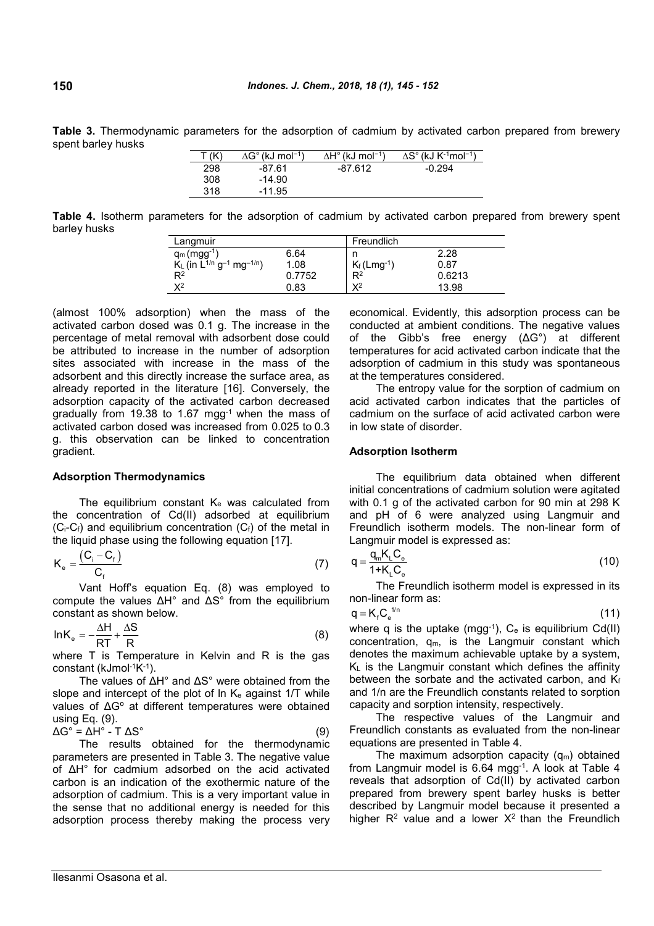**Table 3.** Thermodynamic parameters for the adsorption of cadmium by activated carbon prepared from brewery spent barley husks

| T (K) | $\Delta G^{\circ}$ (kJ mol <sup>-1</sup> ) | $\Delta H^{\circ}$ (kJ mol <sup>-1</sup> ) | $\Delta S^{\circ}$ (kJ K <sup>-1</sup> mol <sup>-1</sup> ) |
|-------|--------------------------------------------|--------------------------------------------|------------------------------------------------------------|
| 298   | $-87.61$                                   | $-87.612$                                  | $-0.294$                                                   |
| 308   | $-14.90$                                   |                                            |                                                            |
| 318   | $-11.95$                                   |                                            |                                                            |

**Table 4.** Isotherm parameters for the adsorption of cadmium by activated carbon prepared from brewery spent barley husks

| Langmuir                                                 |        | Freundlich                 |        |
|----------------------------------------------------------|--------|----------------------------|--------|
| $q_m (mgg^{-1})$                                         | 6.64   |                            | 2.28   |
| $K_L$ (in $L^{1/n}$ g <sup>-1</sup> mg <sup>-1/n</sup> ) | 1.08   | $K_f$ (Lmg <sup>-1</sup> ) | 0.87   |
| $\mathsf{R}^2$                                           | 0.7752 | $R^2$                      | 0.6213 |
| $X^2$                                                    | 0.83   | $\mathbf{Y}^2$             | 13.98  |

(almost 100% adsorption) when the mass of the activated carbon dosed was 0.1 g. The increase in the percentage of metal removal with adsorbent dose could be attributed to increase in the number of adsorption sites associated with increase in the mass of the adsorbent and this directly increase the surface area, as already reported in the literature [16]. Conversely, the adsorption capacity of the activated carbon decreased gradually from 19.38 to 1.67 mgg-1 when the mass of activated carbon dosed was increased from 0.025 to 0.3 g. this observation can be linked to concentration gradient.

### **Adsorption Thermodynamics**

The equilibrium constant  $K_e$  was calculated from the concentration of Cd(II) adsorbed at equilibrium  $(C_i-C_f)$  and equilibrium concentration  $(C_f)$  of the metal in the liquid phase using the following equation [17].

$$
K_e = \frac{(C_i - C_f)}{C_f} \tag{7}
$$

Vant Hoff's equation Eq. (8) was employed to compute the values ΔH° and ΔS° from the equilibrium constant as shown below.

$$
lnK_e = -\frac{\Delta H}{RT} + \frac{\Delta S}{R}
$$
 (8)

where T is Temperature in Kelvin and R is the gas constant (kJmol-1K-1).

The values of ΔH° and ΔS° were obtained from the slope and intercept of the plot of  $\ln K_e$  against 1/T while values of ΔGº at different temperatures were obtained using Eq. (9).

 $\Delta G^{\circ} = \Delta H^{\circ} - T \Delta S^{\circ}$  (9)

The results obtained for the thermodynamic parameters are presented in Table 3. The negative value of ΔH° for cadmium adsorbed on the acid activated carbon is an indication of the exothermic nature of the adsorption of cadmium. This is a very important value in the sense that no additional energy is needed for this adsorption process thereby making the process very economical. Evidently, this adsorption process can be conducted at ambient conditions. The negative values of the Gibb's free energy (ΔG°) at different temperatures for acid activated carbon indicate that the adsorption of cadmium in this study was spontaneous at the temperatures considered.

The entropy value for the sorption of cadmium on acid activated carbon indicates that the particles of cadmium on the surface of acid activated carbon were in low state of disorder.

#### **Adsorption Isotherm**

The equilibrium data obtained when different initial concentrations of cadmium solution were agitated with 0.1 g of the activated carbon for 90 min at 298 K and pH of 6 were analyzed using Langmuir and Freundlich isotherm models. The non-linear form of Langmuir model is expressed as:

$$
q = \frac{q_m K_L C_e}{1 + K_L C_e} \tag{10}
$$

The Freundlich isotherm model is expressed in its non-linear form as:

$$
q = K_f C_e^{1/n}
$$
 (11)

where q is the uptake (mgg-1),  $C_e$  is equilibrium Cd(II) concentration,  $q_m$ , is the Langmuir constant which denotes the maximum achievable uptake by a system,  $K_L$  is the Langmuir constant which defines the affinity between the sorbate and the activated carbon, and Kf and 1/n are the Freundlich constants related to sorption capacity and sorption intensity, respectively.

The respective values of the Langmuir and Freundlich constants as evaluated from the non-linear equations are presented in Table 4.

The maximum adsorption capacity  $(q_m)$  obtained from Langmuir model is 6.64 mgg-1. A look at Table 4 reveals that adsorption of Cd(II) by activated carbon prepared from brewery spent barley husks is better described by Langmuir model because it presented a higher  $R^2$  value and a lower  $X^2$  than the Freundlich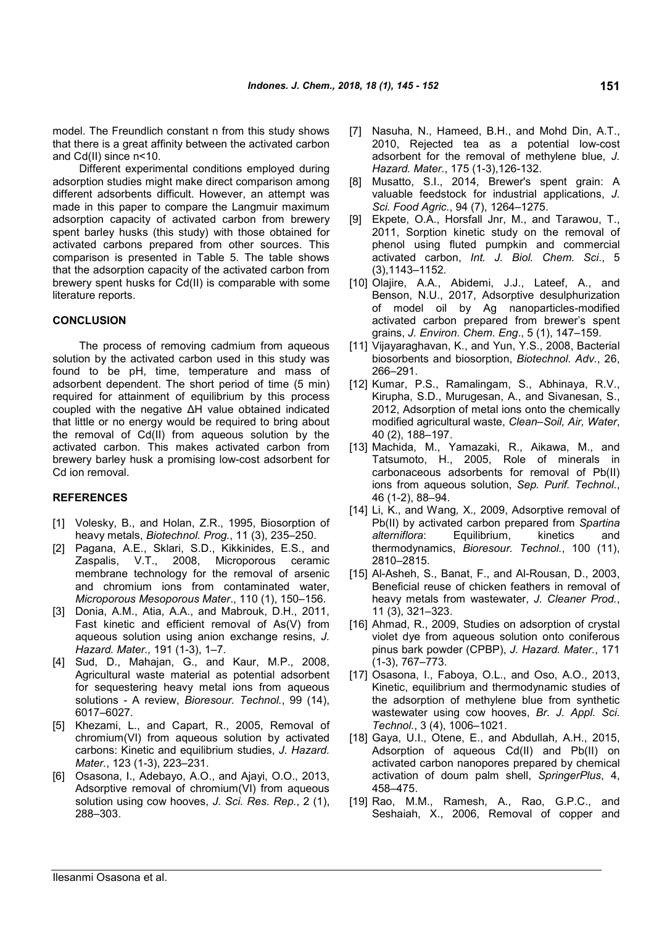model. The Freundlich constant n from this study shows that there is a great affinity between the activated carbon and Cd(II) since n<10.

Different experimental conditions employed during adsorption studies might make direct comparison among different adsorbents difficult. However, an attempt was made in this paper to compare the Langmuir maximum adsorption capacity of activated carbon from brewery spent barley husks (this study) with those obtained for activated carbons prepared from other sources. This comparison is presented in Table 5. The table shows that the adsorption capacity of the activated carbon from brewery spent husks for Cd(II) is comparable with some literature reports.

#### **CONCLUSION**

The process of removing cadmium from aqueous solution by the activated carbon used in this study was found to be pH, time, temperature and mass of adsorbent dependent. The short period of time (5 min) required for attainment of equilibrium by this process coupled with the negative ΔH value obtained indicated that little or no energy would be required to bring about the removal of Cd(II) from aqueous solution by the activated carbon. This makes activated carbon from brewery barley husk a promising low-cost adsorbent for Cd ion removal.

#### **REFERENCES**

- [1] Volesky, B., and Holan, Z.R., 1995, Biosorption of heavy metals, *Biotechnol. Prog.*, 11 (3), 235–250.
- [2] Pagana, A.E., Sklari, S.D., Kikkinides, E.S., and Zaspalis, V.T., 2008, Microporous ceramic membrane technology for the removal of arsenic and chromium ions from contaminated water, *Microporous Mesoporous Mater*., 110 (1), 150–156.
- [3] Donia, A.M., Atia, A.A., and Mabrouk, D.H., 2011, Fast kinetic and efficient removal of As(V) from aqueous solution using anion exchange resins, *J. Hazard. Mater.,* 191 (1-3), 1–7.
- [4] Sud, D., Mahajan, G., and Kaur, M.P., 2008, Agricultural waste material as potential adsorbent for sequestering heavy metal ions from aqueous solutions - A review, *Bioresour. Technol.*, 99 (14), 6017–6027.
- [5] Khezami, L., and Capart, R., 2005, Removal of chromium(VI) from aqueous solution by activated carbons: Kinetic and equilibrium studies, *J. Hazard. Mater.*, 123 (1-3), 223–231.
- [6] Osasona, I., Adebayo, A.O., and Ajayi, O.O., 2013, Adsorptive removal of chromium(VI) from aqueous solution using cow hooves, *J. Sci. Res. Rep.*, 2 (1), 288–303.
- [7] Nasuha, N., Hameed, B.H., and Mohd Din, A.T., 2010, Rejected tea as a potential low-cost adsorbent for the removal of methylene blue, *J. Hazard. Mater.*, 175 (1-3),126-132.
- [8] Musatto, S.I., 2014, Brewer's spent grain: A valuable feedstock for industrial applications, *J. Sci. Food Agric.*, 94 (7), 1264–1275.
- [9] Ekpete, O.A., Horsfall Jnr, M., and Tarawou, T., 2011, Sorption kinetic study on the removal of phenol using fluted pumpkin and commercial activated carbon, *Int. J. Biol. Chem. Sci*., 5 (3),1143–1152.
- [10] Olajire, A.A., Abidemi, J.J., Lateef, A., and Benson, N.U., 2017, Adsorptive desulphurization of model oil by Ag nanoparticles-modified activated carbon prepared from brewer's spent grains, *J. Environ. Chem. Eng*., 5 (1), 147–159.
- [11] Vijayaraghavan, K., and Yun, Y.S., 2008, Bacterial biosorbents and biosorption, *Biotechnol. Adv.*, 26, 266–291.
- [12] Kumar, P.S., Ramalingam, S., Abhinaya, R.V., Kirupha, S.D., Murugesan, A., and Sivanesan, S., 2012, Adsorption of metal ions onto the chemically modified agricultural waste, *Clean–Soil, Air, Water*, 40 (2), 188–197.
- [13] Machida, M., Yamazaki, R., Aikawa, M., and Tatsumoto, H., 2005, Role of minerals in carbonaceous adsorbents for removal of Pb(II) ions from aqueous solution, *Sep. Purif. Technol.*, 46 (1-2), 88–94.
- [14] Li, K., and Wang*,* X*.,* 2009, Adsorptive removal of Pb(II) by activated carbon prepared from *Spartina alterniflora*: Equilibrium, kinetics and thermodynamics, *Bioresour. Technol.*, 100 (11), 2810–2815.
- [15] Al-Asheh, S., Banat, F., and Al-Rousan, D., 2003, Beneficial reuse of chicken feathers in removal of heavy metals from wastewater, *J. Cleaner Prod.*, 11 (3), 321–323.
- [16] Ahmad, R., 2009, Studies on adsorption of crystal violet dye from aqueous solution onto coniferous pinus bark powder (CPBP), *J. Hazard. Mater.*, 171 (1-3), 767–773.
- [17] Osasona, I., Faboya, O.L., and Oso, A.O., 2013, Kinetic, equilibrium and thermodynamic studies of the adsorption of methylene blue from synthetic wastewater using cow hooves, *Br. J. Appl. Sci. Technol.*, 3 (4), 1006–1021.
- [18] Gaya, U.I., Otene, E., and Abdullah, A.H., 2015, Adsorption of aqueous Cd(II) and Pb(II) on activated carbon nanopores prepared by chemical activation of doum palm shell, *SpringerPlus*, 4, 458–475.
- [19] Rao, M.M., Ramesh, A., Rao, G.P.C., and Seshaiah, X., 2006, Removal of copper and